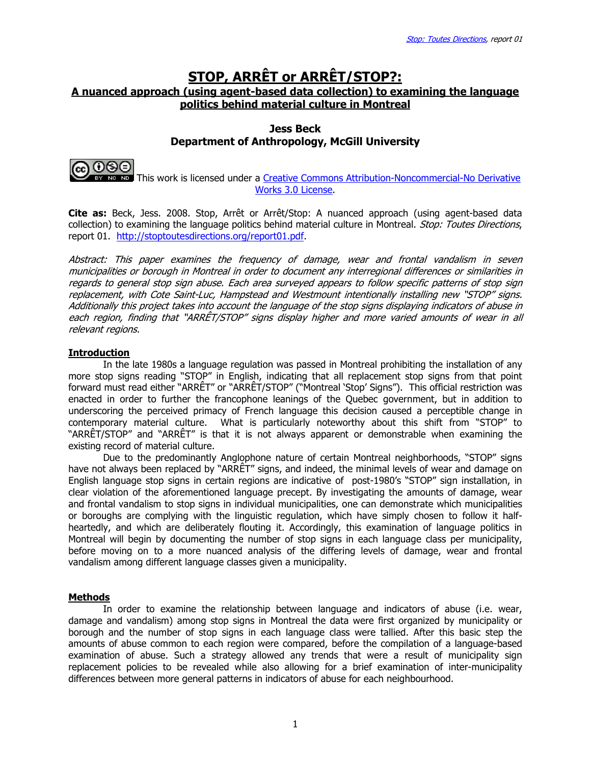# STOP, ARRÊT or ARRÊT/STOP?: A nuanced approach (using agent-based data collection) to examining the language politics behind material culture in Montreal

### Jess Beck Department of Anthropology, McGill University



**NO NO 10 This work is licensed under a Creative Commons Attribution-Noncommercial-No Derivative** Works 3.0 License.

Cite as: Beck, Jess. 2008. Stop, Arrêt or Arrêt/Stop: A nuanced approach (using agent-based data collection) to examining the language politics behind material culture in Montreal. Stop: Toutes Directions, report 01. http://stoptoutesdirections.org/report01.pdf.

Abstract: This paper examines the frequency of damage, wear and frontal vandalism in seven municipalities or borough in Montreal in order to document any interregional differences or similarities in regards to general stop sign abuse. Each area surveyed appears to follow specific patterns of stop sign replacement, with Cote Saint-Luc, Hampstead and Westmount intentionally installing new "STOP" signs. Additionally this project takes into account the language of the stop signs displaying indicators of abuse in each region, finding that "ARRÊT/STOP" signs display higher and more varied amounts of wear in all relevant regions.

#### Introduction

 In the late 1980s a language regulation was passed in Montreal prohibiting the installation of any more stop signs reading "STOP" in English, indicating that all replacement stop signs from that point forward must read either "ARRÊT" or "ARRÊT/STOP" ("Montreal 'Stop' Signs"). This official restriction was enacted in order to further the francophone leanings of the Quebec government, but in addition to underscoring the perceived primacy of French language this decision caused a perceptible change in contemporary material culture. What is particularly noteworthy about this shift from "STOP" to "ARRÊT/STOP" and "ARRÊT" is that it is not always apparent or demonstrable when examining the existing record of material culture.

 Due to the predominantly Anglophone nature of certain Montreal neighborhoods, "STOP" signs have not always been replaced by "ARRÊT" signs, and indeed, the minimal levels of wear and damage on English language stop signs in certain regions are indicative of post-1980's "STOP" sign installation, in clear violation of the aforementioned language precept. By investigating the amounts of damage, wear and frontal vandalism to stop signs in individual municipalities, one can demonstrate which municipalities or boroughs are complying with the linguistic regulation, which have simply chosen to follow it halfheartedly, and which are deliberately flouting it. Accordingly, this examination of language politics in Montreal will begin by documenting the number of stop signs in each language class per municipality, before moving on to a more nuanced analysis of the differing levels of damage, wear and frontal vandalism among different language classes given a municipality.

#### **Methods**

 In order to examine the relationship between language and indicators of abuse (i.e. wear, damage and vandalism) among stop signs in Montreal the data were first organized by municipality or borough and the number of stop signs in each language class were tallied. After this basic step the amounts of abuse common to each region were compared, before the compilation of a language-based examination of abuse. Such a strategy allowed any trends that were a result of municipality sign replacement policies to be revealed while also allowing for a brief examination of inter-municipality differences between more general patterns in indicators of abuse for each neighbourhood.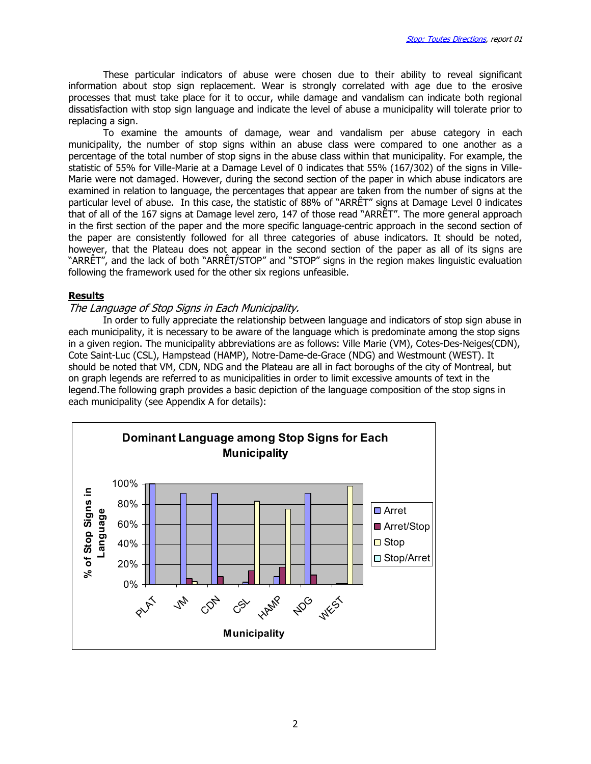These particular indicators of abuse were chosen due to their ability to reveal significant information about stop sign replacement. Wear is strongly correlated with age due to the erosive processes that must take place for it to occur, while damage and vandalism can indicate both regional dissatisfaction with stop sign language and indicate the level of abuse a municipality will tolerate prior to replacing a sign.

 To examine the amounts of damage, wear and vandalism per abuse category in each municipality, the number of stop signs within an abuse class were compared to one another as a percentage of the total number of stop signs in the abuse class within that municipality. For example, the statistic of 55% for Ville-Marie at a Damage Level of 0 indicates that 55% (167/302) of the signs in Ville-Marie were not damaged. However, during the second section of the paper in which abuse indicators are examined in relation to language, the percentages that appear are taken from the number of signs at the particular level of abuse. In this case, the statistic of 88% of "ARRÊT" signs at Damage Level 0 indicates that of all of the 167 signs at Damage level zero, 147 of those read "ARRÊT". The more general approach in the first section of the paper and the more specific language-centric approach in the second section of the paper are consistently followed for all three categories of abuse indicators. It should be noted, however, that the Plateau does not appear in the second section of the paper as all of its signs are "ARRÊT", and the lack of both "ARRÊT/STOP" and "STOP" signs in the region makes linguistic evaluation following the framework used for the other six regions unfeasible.

#### **Results**

#### The Language of Stop Signs in Each Municipality.

 In order to fully appreciate the relationship between language and indicators of stop sign abuse in each municipality, it is necessary to be aware of the language which is predominate among the stop signs in a given region. The municipality abbreviations are as follows: Ville Marie (VM), Cotes-Des-Neiges(CDN), Cote Saint-Luc (CSL), Hampstead (HAMP), Notre-Dame-de-Grace (NDG) and Westmount (WEST). It should be noted that VM, CDN, NDG and the Plateau are all in fact boroughs of the city of Montreal, but on graph legends are referred to as municipalities in order to limit excessive amounts of text in the legend.The following graph provides a basic depiction of the language composition of the stop signs in each municipality (see Appendix A for details):

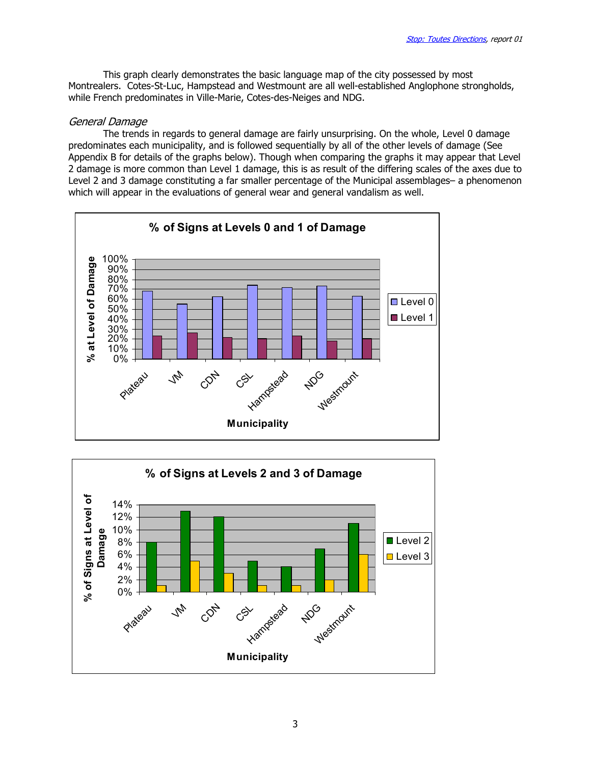This graph clearly demonstrates the basic language map of the city possessed by most Montrealers. Cotes-St-Luc, Hampstead and Westmount are all well-established Anglophone strongholds, while French predominates in Ville-Marie, Cotes-des-Neiges and NDG.

### General Damage

 The trends in regards to general damage are fairly unsurprising. On the whole, Level 0 damage predominates each municipality, and is followed sequentially by all of the other levels of damage (See Appendix B for details of the graphs below). Though when comparing the graphs it may appear that Level 2 damage is more common than Level 1 damage, this is as result of the differing scales of the axes due to Level 2 and 3 damage constituting a far smaller percentage of the Municipal assemblages– a phenomenon which will appear in the evaluations of general wear and general vandalism as well.



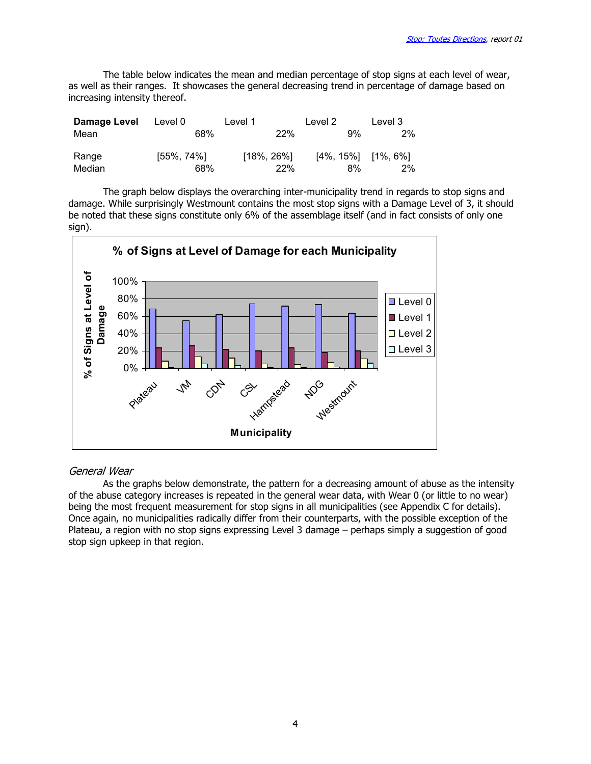The table below indicates the mean and median percentage of stop signs at each level of wear, as well as their ranges. It showcases the general decreasing trend in percentage of damage based on increasing intensity thereof.

| Damage Level | Level 0        | Level 1        | Level 2                    | Level 3 |
|--------------|----------------|----------------|----------------------------|---------|
| Mean         | 68%            | <b>22%</b>     | 9%                         | 2%      |
| Range        | $[55\%, 74\%]$ | $[18\%, 26\%]$ | $[4\%, 15\%]$ $[1\%, 6\%]$ |         |
| Median       | 68%            | 22%            | 8%                         | 2%      |

The graph below displays the overarching inter-municipality trend in regards to stop signs and damage. While surprisingly Westmount contains the most stop signs with a Damage Level of 3, it should be noted that these signs constitute only 6% of the assemblage itself (and in fact consists of only one sign).



### General Wear

As the graphs below demonstrate, the pattern for a decreasing amount of abuse as the intensity of the abuse category increases is repeated in the general wear data, with Wear 0 (or little to no wear) being the most frequent measurement for stop signs in all municipalities (see Appendix C for details). Once again, no municipalities radically differ from their counterparts, with the possible exception of the Plateau, a region with no stop signs expressing Level 3 damage – perhaps simply a suggestion of good stop sign upkeep in that region.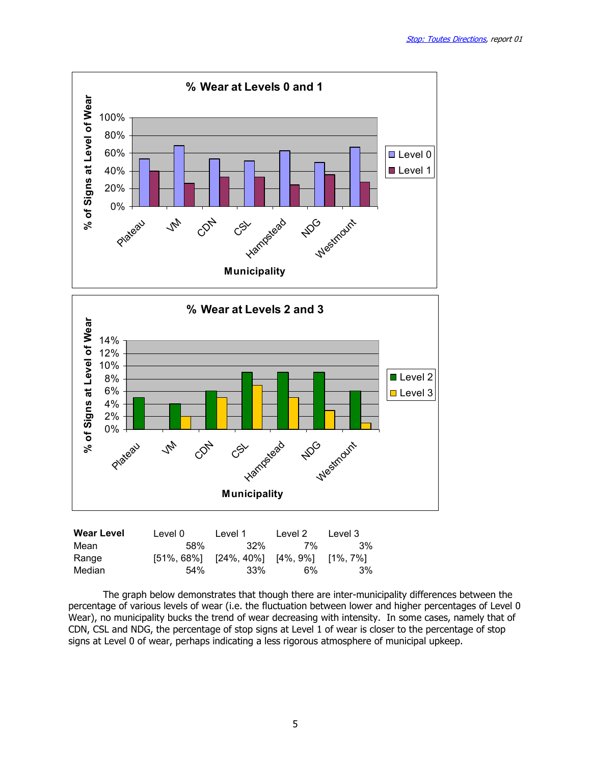



| TTVUI LUTUI | ∟∪ ≀∪∟ | L V V I                                                 | ∟∪ ≀∪∟ | ᄂᇰᄿᇰᆝ ᇰ |
|-------------|--------|---------------------------------------------------------|--------|---------|
| Mean        | .58%   | 32%                                                     | 7%     | .3%     |
| Range       |        | $[51\%, 68\%]$ $[24\%, 40\%]$ $[4\%, 9\%]$ $[1\%, 7\%]$ |        |         |
| Median      | 54%    | 33%                                                     | 6%     | 3%      |
|             |        |                                                         |        |         |

The graph below demonstrates that though there are inter-municipality differences between the percentage of various levels of wear (i.e. the fluctuation between lower and higher percentages of Level 0 Wear), no municipality bucks the trend of wear decreasing with intensity. In some cases, namely that of CDN, CSL and NDG, the percentage of stop signs at Level 1 of wear is closer to the percentage of stop signs at Level 0 of wear, perhaps indicating a less rigorous atmosphere of municipal upkeep.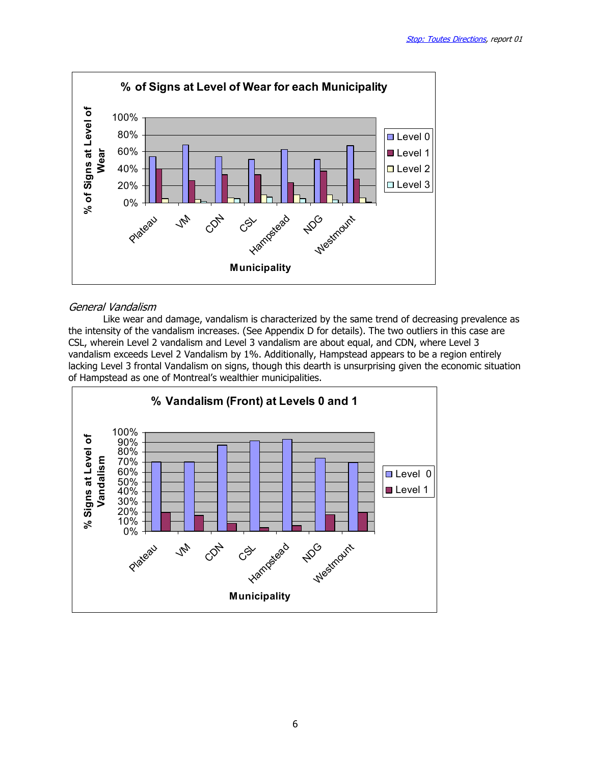

### General Vandalism

 Like wear and damage, vandalism is characterized by the same trend of decreasing prevalence as the intensity of the vandalism increases. (See Appendix D for details). The two outliers in this case are CSL, wherein Level 2 vandalism and Level 3 vandalism are about equal, and CDN, where Level 3 vandalism exceeds Level 2 Vandalism by 1%. Additionally, Hampstead appears to be a region entirely lacking Level 3 frontal Vandalism on signs, though this dearth is unsurprising given the economic situation of Hampstead as one of Montreal's wealthier municipalities.

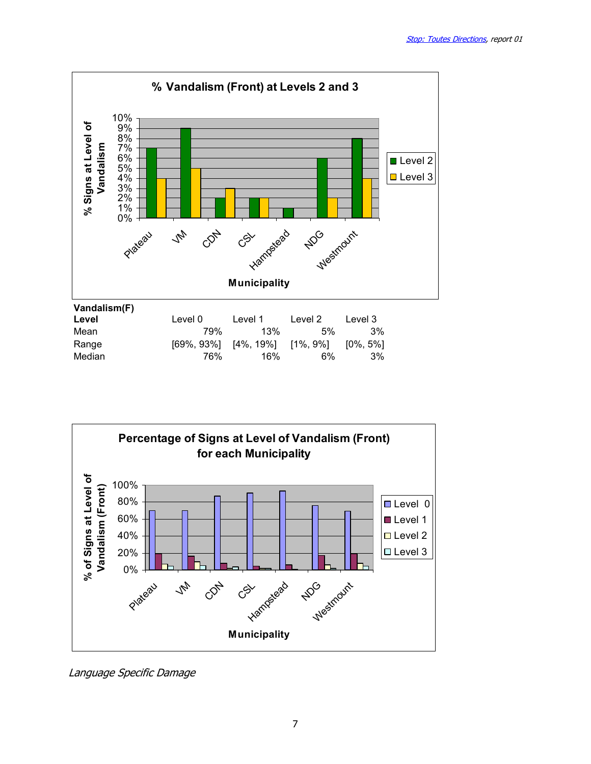



Language Specific Damage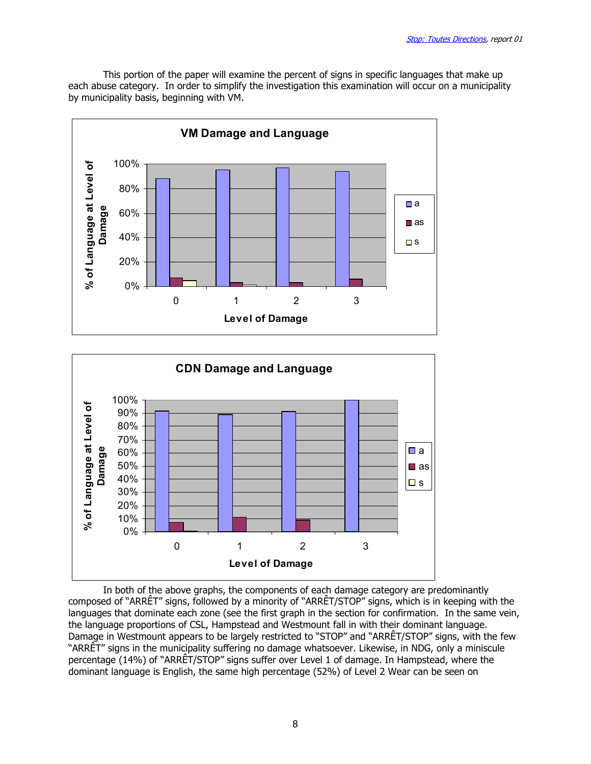This portion of the paper will examine the percent of signs in specific languages that make up each abuse category. In order to simplify the investigation this examination will occur on a municipality by municipality basis, beginning with VM.





 In both of the above graphs, the components of each damage category are predominantly composed of "ARRÊT" signs, followed by a minority of "ARRÊT/STOP" signs, which is in keeping with the languages that dominate each zone (see the first graph in the section for confirmation. In the same vein, the language proportions of CSL, Hampstead and Westmount fall in with their dominant language. Damage in Westmount appears to be largely restricted to "STOP" and "ARRÊT/STOP" signs, with the few "ARRÊT" signs in the municipality suffering no damage whatsoever. Likewise, in NDG, only a miniscule percentage (14%) of "ARRÊT/STOP" signs suffer over Level 1 of damage. In Hampstead, where the dominant language is English, the same high percentage (52%) of Level 2 Wear can be seen on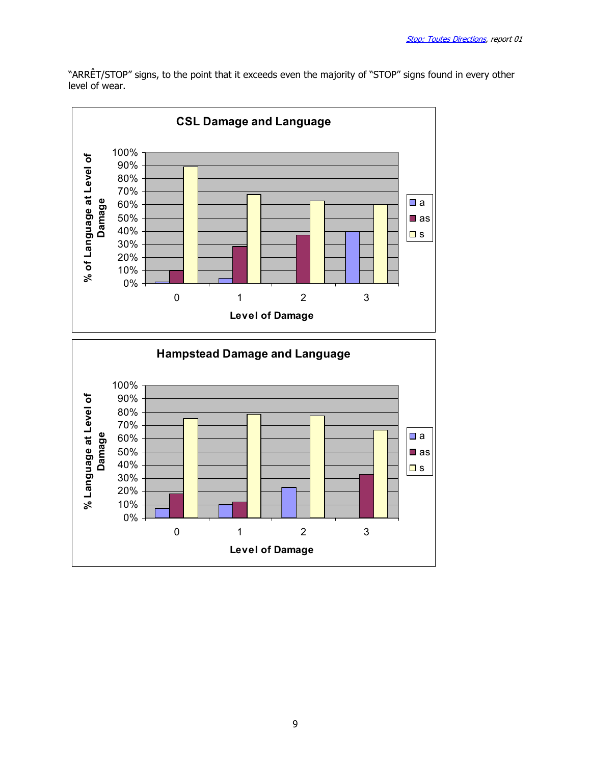"ARRÊT/STOP" signs, to the point that it exceeds even the majority of "STOP" signs found in every other level of wear.



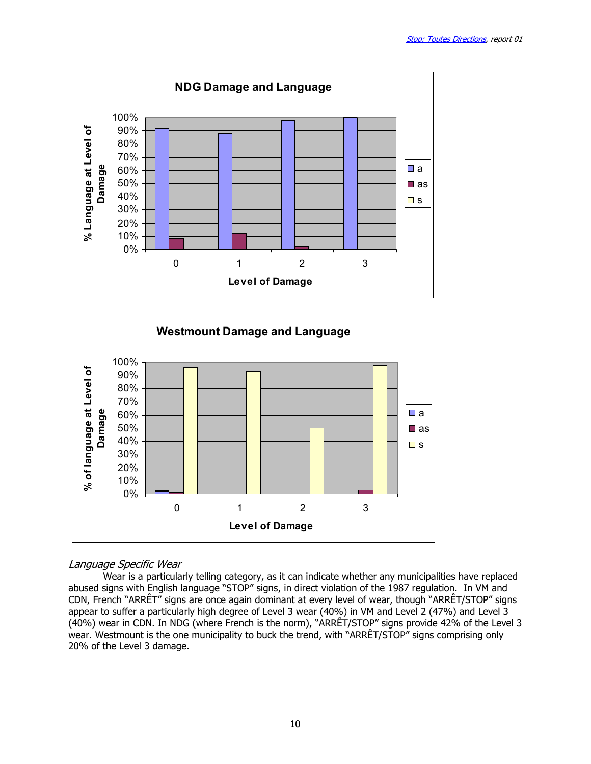



### Language Specific Wear

 Wear is a particularly telling category, as it can indicate whether any municipalities have replaced abused signs with English language "STOP" signs, in direct violation of the 1987 regulation. In VM and CDN, French "ARRÊT" signs are once again dominant at every level of wear, though "ARRÊT/STOP" signs appear to suffer a particularly high degree of Level 3 wear (40%) in VM and Level 2 (47%) and Level 3 (40%) wear in CDN. In NDG (where French is the norm), "ARRÊT/STOP" signs provide 42% of the Level 3 wear. Westmount is the one municipality to buck the trend, with "ARRÊT/STOP" signs comprising only 20% of the Level 3 damage.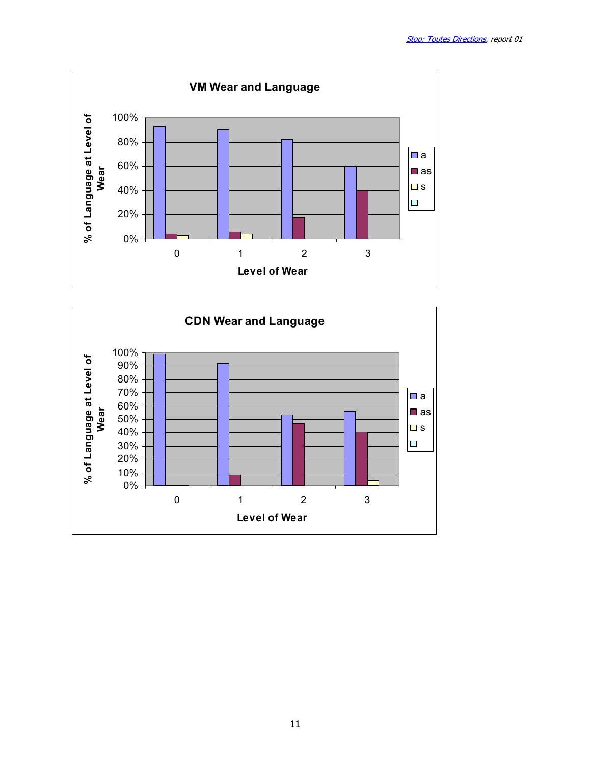

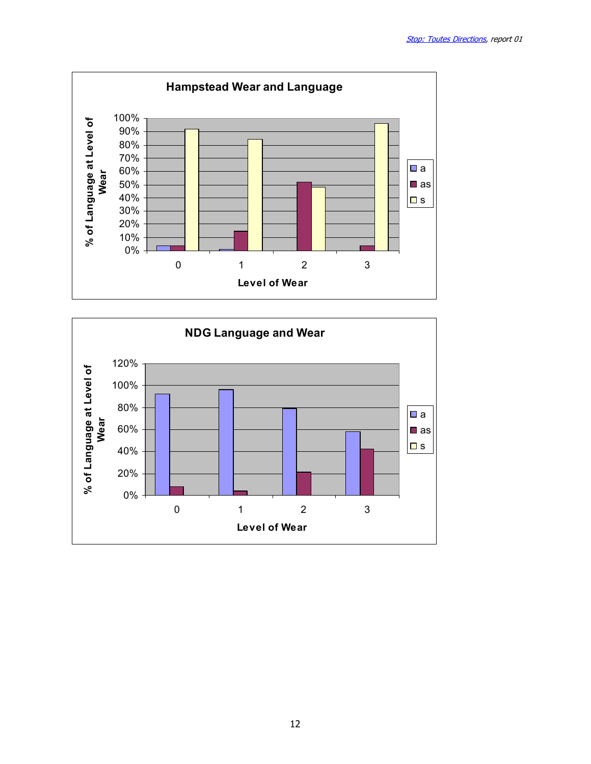

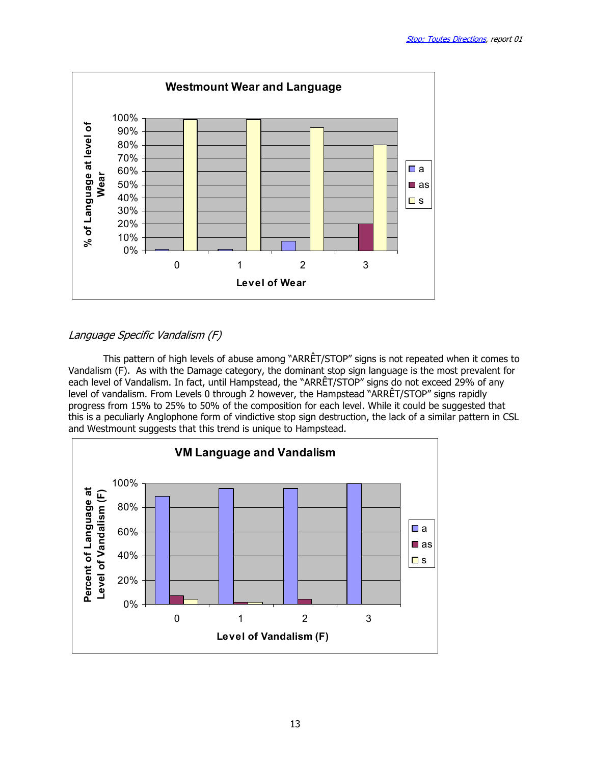

# Language Specific Vandalism (F)

 This pattern of high levels of abuse among "ARRÊT/STOP" signs is not repeated when it comes to Vandalism (F). As with the Damage category, the dominant stop sign language is the most prevalent for each level of Vandalism. In fact, until Hampstead, the "ARRÊT/STOP" signs do not exceed 29% of any level of vandalism. From Levels 0 through 2 however, the Hampstead "ARRÊT/STOP" signs rapidly progress from 15% to 25% to 50% of the composition for each level. While it could be suggested that this is a peculiarly Anglophone form of vindictive stop sign destruction, the lack of a similar pattern in CSL and Westmount suggests that this trend is unique to Hampstead.

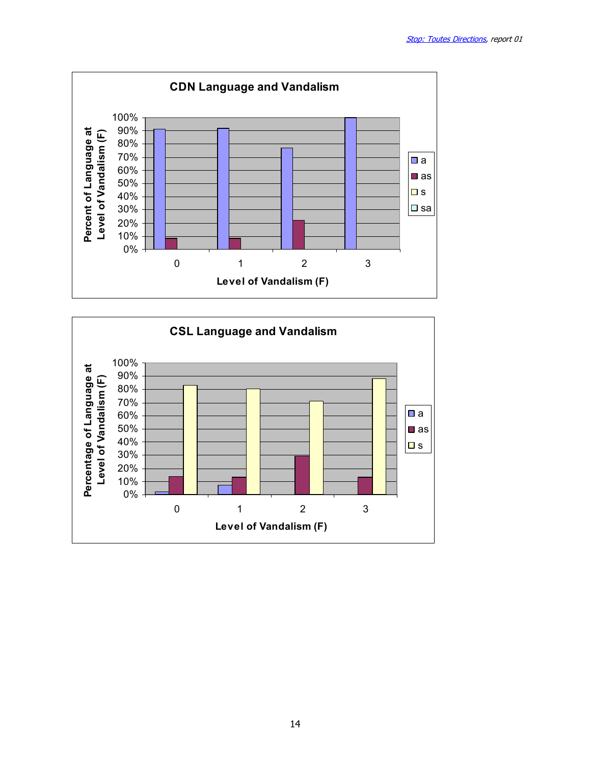

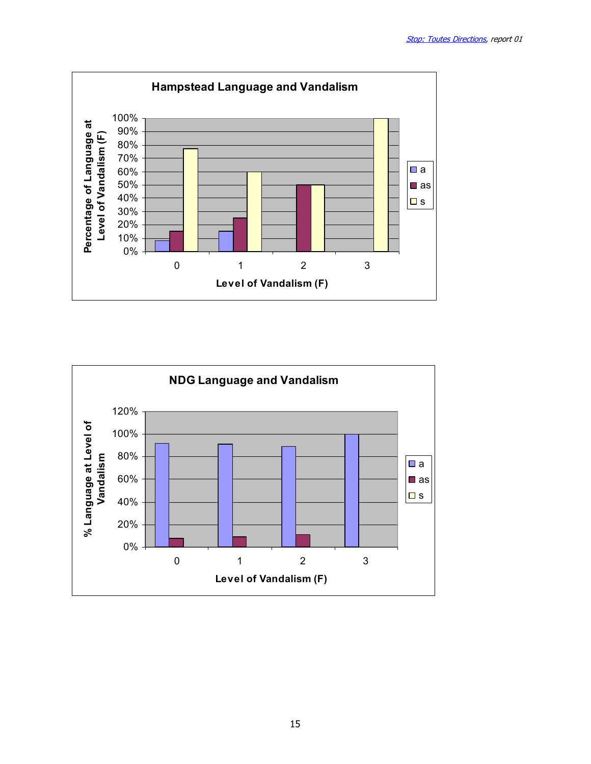

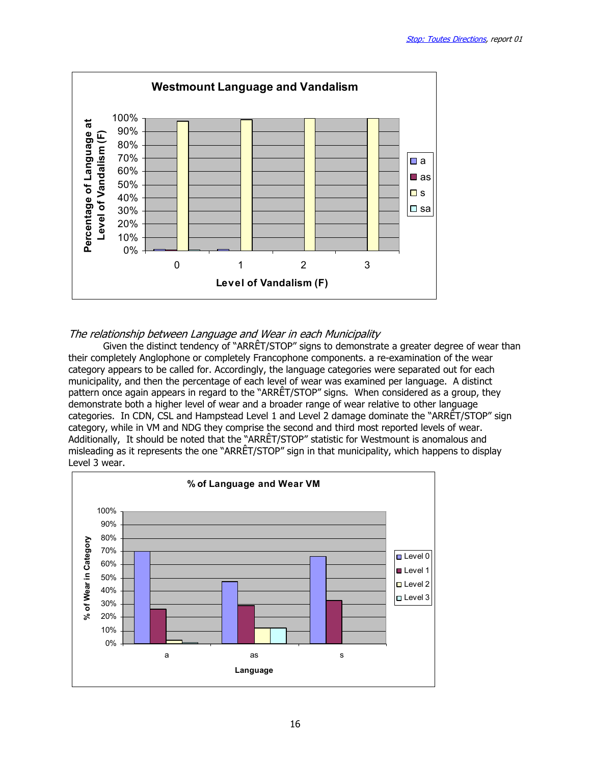

### The relationship between Language and Wear in each Municipality

 Given the distinct tendency of "ARRÊT/STOP" signs to demonstrate a greater degree of wear than their completely Anglophone or completely Francophone components. a re-examination of the wear category appears to be called for. Accordingly, the language categories were separated out for each municipality, and then the percentage of each level of wear was examined per language. A distinct pattern once again appears in regard to the "ARRÊT/STOP" signs. When considered as a group, they demonstrate both a higher level of wear and a broader range of wear relative to other language categories. In CDN, CSL and Hampstead Level 1 and Level 2 damage dominate the "ARRÊT/STOP" sign category, while in VM and NDG they comprise the second and third most reported levels of wear. Additionally, It should be noted that the "ARRÊT/STOP" statistic for Westmount is anomalous and misleading as it represents the one "ARRÊT/STOP" sign in that municipality, which happens to display Level 3 wear.

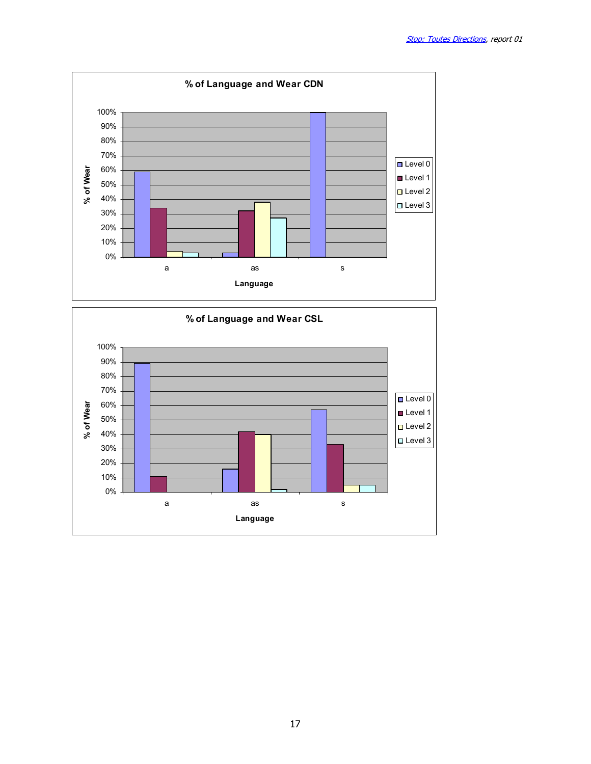

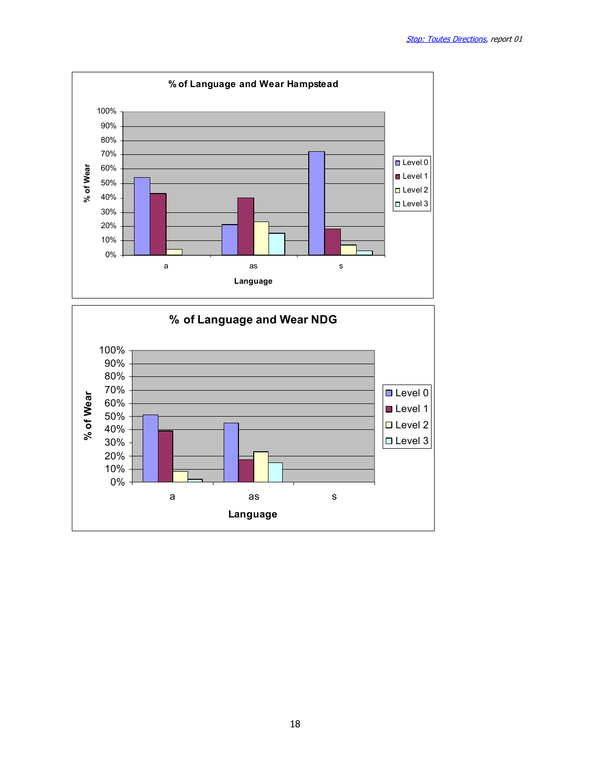

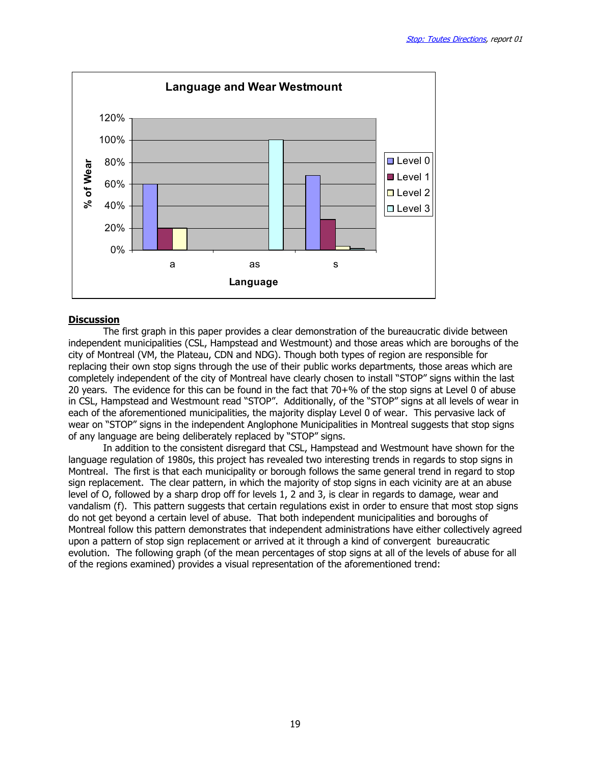

#### **Discussion**

 The first graph in this paper provides a clear demonstration of the bureaucratic divide between independent municipalities (CSL, Hampstead and Westmount) and those areas which are boroughs of the city of Montreal (VM, the Plateau, CDN and NDG). Though both types of region are responsible for replacing their own stop signs through the use of their public works departments, those areas which are completely independent of the city of Montreal have clearly chosen to install "STOP" signs within the last 20 years. The evidence for this can be found in the fact that 70+% of the stop signs at Level 0 of abuse in CSL, Hampstead and Westmount read "STOP". Additionally, of the "STOP" signs at all levels of wear in each of the aforementioned municipalities, the majority display Level 0 of wear. This pervasive lack of wear on "STOP" signs in the independent Anglophone Municipalities in Montreal suggests that stop signs of any language are being deliberately replaced by "STOP" signs.

In addition to the consistent disregard that CSL, Hampstead and Westmount have shown for the language regulation of 1980s, this project has revealed two interesting trends in regards to stop signs in Montreal. The first is that each municipality or borough follows the same general trend in regard to stop sign replacement. The clear pattern, in which the majority of stop signs in each vicinity are at an abuse level of O, followed by a sharp drop off for levels 1, 2 and 3, is clear in regards to damage, wear and vandalism (f). This pattern suggests that certain regulations exist in order to ensure that most stop signs do not get beyond a certain level of abuse. That both independent municipalities and boroughs of Montreal follow this pattern demonstrates that independent administrations have either collectively agreed upon a pattern of stop sign replacement or arrived at it through a kind of convergent bureaucratic evolution. The following graph (of the mean percentages of stop signs at all of the levels of abuse for all of the regions examined) provides a visual representation of the aforementioned trend: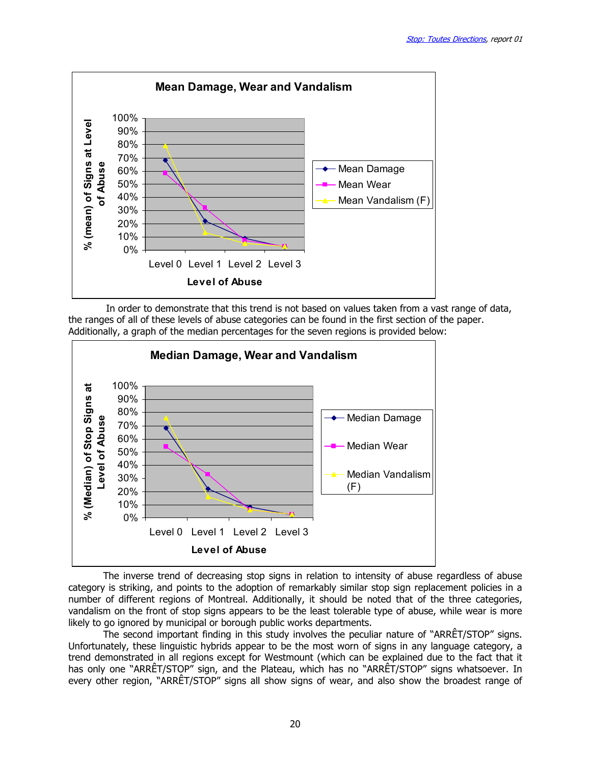

 In order to demonstrate that this trend is not based on values taken from a vast range of data, the ranges of all of these levels of abuse categories can be found in the first section of the paper. Additionally, a graph of the median percentages for the seven regions is provided below:



 The inverse trend of decreasing stop signs in relation to intensity of abuse regardless of abuse category is striking, and points to the adoption of remarkably similar stop sign replacement policies in a number of different regions of Montreal. Additionally, it should be noted that of the three categories, vandalism on the front of stop signs appears to be the least tolerable type of abuse, while wear is more likely to go ignored by municipal or borough public works departments.

 The second important finding in this study involves the peculiar nature of "ARRÊT/STOP" signs. Unfortunately, these linguistic hybrids appear to be the most worn of signs in any language category, a trend demonstrated in all regions except for Westmount (which can be explained due to the fact that it has only one "ARRÊT/STOP" sign, and the Plateau, which has no "ARRÊT/STOP" signs whatsoever. In every other region, "ARRÊT/STOP" signs all show signs of wear, and also show the broadest range of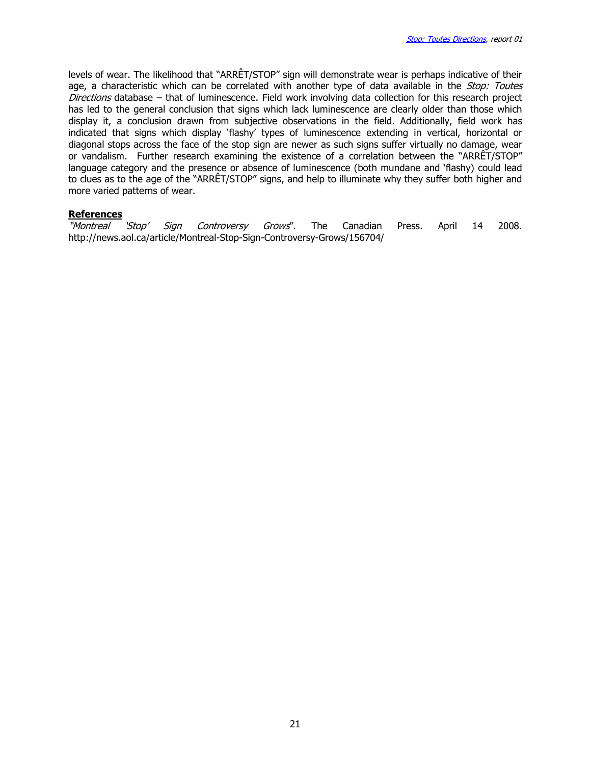levels of wear. The likelihood that "ARRÊT/STOP" sign will demonstrate wear is perhaps indicative of their age, a characteristic which can be correlated with another type of data available in the Stop: Toutes Directions database – that of luminescence. Field work involving data collection for this research project has led to the general conclusion that signs which lack luminescence are clearly older than those which display it, a conclusion drawn from subjective observations in the field. Additionally, field work has indicated that signs which display 'flashy' types of luminescence extending in vertical, horizontal or diagonal stops across the face of the stop sign are newer as such signs suffer virtually no damage, wear or vandalism. Further research examining the existence of a correlation between the "ARRÊT/STOP" language category and the presence or absence of luminescence (both mundane and 'flashy) could lead to clues as to the age of the "ARRÊT/STOP" signs, and help to illuminate why they suffer both higher and more varied patterns of wear.

#### **References**

"Montreal 'Stop' Sign Controversy Grows". The Canadian Press. April 14 2008. http://news.aol.ca/article/Montreal-Stop-Sign-Controversy-Grows/156704/